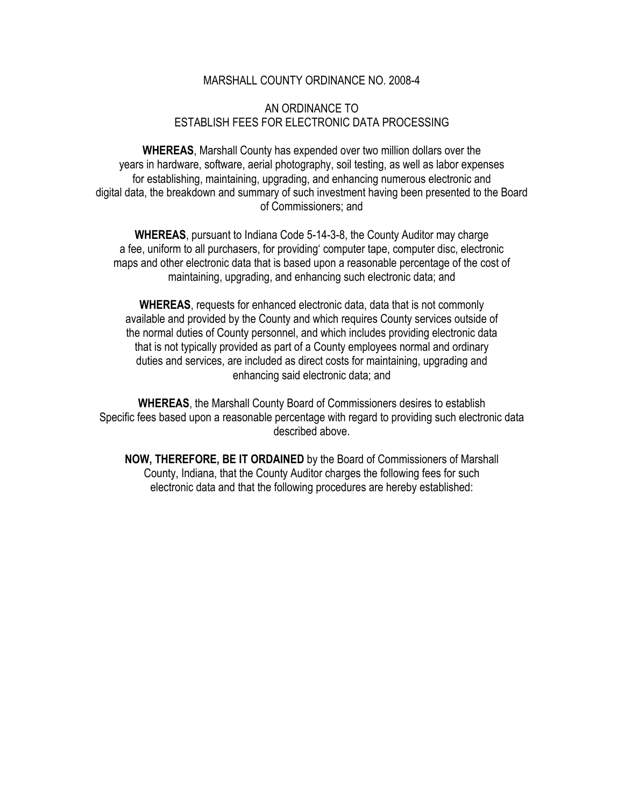## MARSHALL COUNTY ORDINANCE NO. 2008-4

## AN ORDINANCE TO ESTABLISH FEES FOR ELECTRONIC DATA PROCESSING

**WHEREAS**, Marshall County has expended over two million dollars over the years in hardware, software, aerial photography, soil testing, as well as labor expenses for establishing, maintaining, upgrading, and enhancing numerous electronic and digital data, the breakdown and summary of such investment having been presented to the Board of Commissioners; and

**WHEREAS**, pursuant to Indiana Code 5-14-3-8, the County Auditor may charge a fee, uniform to all purchasers, for providing' computer tape, computer disc, electronic maps and other electronic data that is based upon a reasonable percentage of the cost of maintaining, upgrading, and enhancing such electronic data; and

**WHEREAS**, requests for enhanced electronic data, data that is not commonly available and provided by the County and which requires County services outside of the normal duties of County personnel, and which includes providing electronic data that is not typically provided as part of a County employees normal and ordinary duties and services, are included as direct costs for maintaining, upgrading and enhancing said electronic data; and

**WHEREAS**, the Marshall County Board of Commissioners desires to establish Specific fees based upon a reasonable percentage with regard to providing such electronic data described above.

**NOW, THEREFORE, BE IT ORDAINED** by the Board of Commissioners of Marshall County, Indiana, that the County Auditor charges the following fees for such electronic data and that the following procedures are hereby established: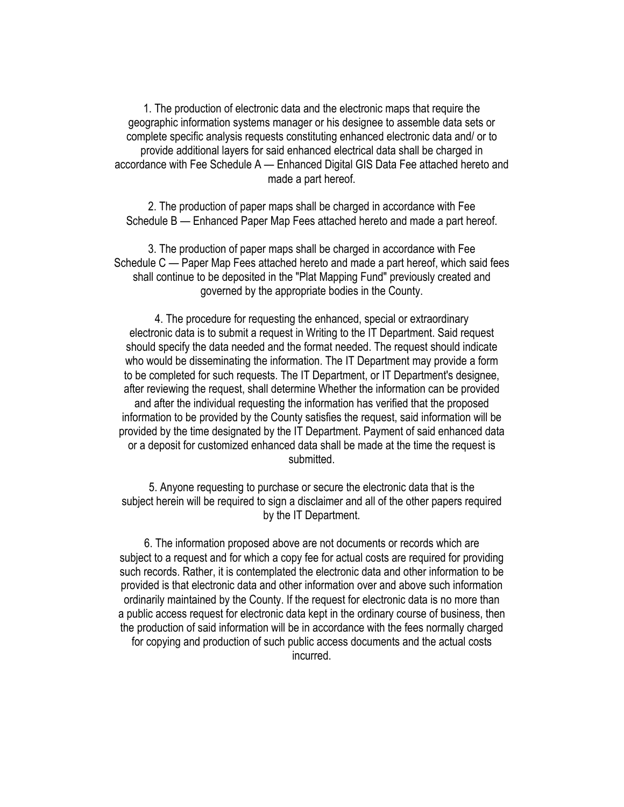1. The production of electronic data and the electronic maps that require the geographic information systems manager or his designee to assemble data sets or complete specific analysis requests constituting enhanced electronic data and/ or to provide additional layers for said enhanced electrical data shall be charged in accordance with Fee Schedule A — Enhanced Digital GIS Data Fee attached hereto and made a part hereof.

2. The production of paper maps shall be charged in accordance with Fee Schedule B — Enhanced Paper Map Fees attached hereto and made a part hereof.

3. The production of paper maps shall be charged in accordance with Fee Schedule C — Paper Map Fees attached hereto and made a part hereof, which said fees shall continue to be deposited in the "Plat Mapping Fund" previously created and governed by the appropriate bodies in the County.

4. The procedure for requesting the enhanced, special or extraordinary electronic data is to submit a request in Writing to the IT Department. Said request should specify the data needed and the format needed. The request should indicate who would be disseminating the information. The IT Department may provide a form to be completed for such requests. The IT Department, or IT Department's designee, after reviewing the request, shall determine Whether the information can be provided and after the individual requesting the information has verified that the proposed information to be provided by the County satisfies the request, said information will be provided by the time designated by the IT Department. Payment of said enhanced data or a deposit for customized enhanced data shall be made at the time the request is submitted.

5. Anyone requesting to purchase or secure the electronic data that is the subject herein will be required to sign a disclaimer and all of the other papers required by the IT Department.

6. The information proposed above are not documents or records which are subject to a request and for which a copy fee for actual costs are required for providing such records. Rather, it is contemplated the electronic data and other information to be provided is that electronic data and other information over and above such information ordinarily maintained by the County. If the request for electronic data is no more than a public access request for electronic data kept in the ordinary course of business, then the production of said information will be in accordance with the fees normally charged for copying and production of such public access documents and the actual costs incurred.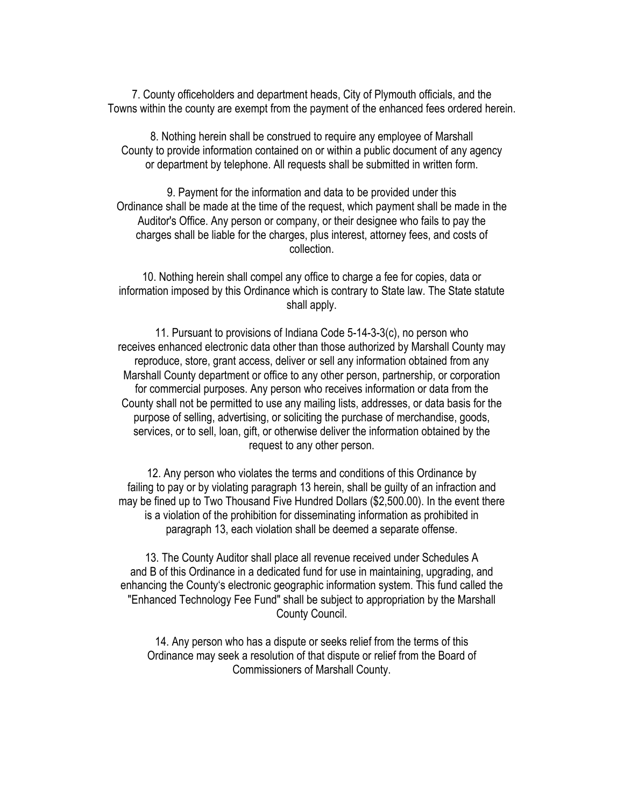7. County officeholders and department heads, City of Plymouth officials, and the Towns within the county are exempt from the payment of the enhanced fees ordered herein.

8. Nothing herein shall be construed to require any employee of Marshall County to provide information contained on or within a public document of any agency or department by telephone. All requests shall be submitted in written form.

9. Payment for the information and data to be provided under this Ordinance shall be made at the time of the request, which payment shall be made in the Auditor's Office. Any person or company, or their designee who fails to pay the charges shall be liable for the charges, plus interest, attorney fees, and costs of collection.

10. Nothing herein shall compel any office to charge a fee for copies, data or information imposed by this Ordinance which is contrary to State law. The State statute shall apply.

11. Pursuant to provisions of Indiana Code 5-14-3-3(c), no person who receives enhanced electronic data other than those authorized by Marshall County may reproduce, store, grant access, deliver or sell any information obtained from any Marshall County department or office to any other person, partnership, or corporation for commercial purposes. Any person who receives information or data from the County shall not be permitted to use any mailing lists, addresses, or data basis for the purpose of selling, advertising, or soliciting the purchase of merchandise, goods, services, or to sell, loan, gift, or otherwise deliver the information obtained by the request to any other person.

12. Any person who violates the terms and conditions of this Ordinance by failing to pay or by violating paragraph 13 herein, shall be guilty of an infraction and may be fined up to Two Thousand Five Hundred Dollars (\$2,500.00). In the event there is a violation of the prohibition for disseminating information as prohibited in paragraph 13, each violation shall be deemed a separate offense.

13. The County Auditor shall place all revenue received under Schedules A and B of this Ordinance in a dedicated fund for use in maintaining, upgrading, and enhancing the County's electronic geographic information system. This fund called the "Enhanced Technology Fee Fund" shall be subject to appropriation by the Marshall County Council.

14. Any person who has a dispute or seeks relief from the terms of this Ordinance may seek a resolution of that dispute or relief from the Board of Commissioners of Marshall County.